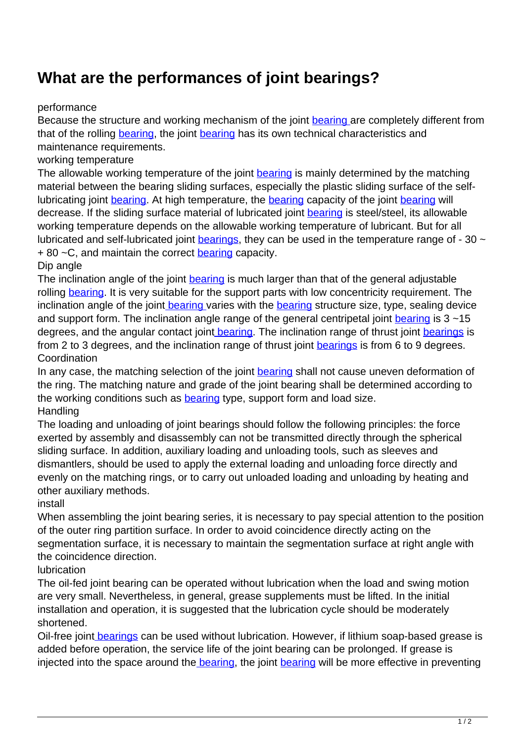## **What are the performances of joint bearings?**

## performance

Because the structure and working mechanism of the joint [bearing](http://therecordofwilkes.com/pump-53455137-kwve45-b-g3v1-slider-block-andorra-bearings-60x120x140-6mm.html) are completely different from that of the rolling [bearing,](http://therecordofwilkes.com/pump-53455137-kwve45-b-g3v1-slider-block-andorra-bearings-60x120x140-6mm.html) the joint [bearing](http://therecordofwilkes.com/pump-53455137-kwve45-b-g3v1-slider-block-andorra-bearings-60x120x140-6mm.html) has its own technical characteristics and maintenance requirements.

working temperature

The allowable working temperature of the joint [bearing](http://therecordofwilkes.com/pump-53455141-61702-2rs-6702-2rs-deep-groove-ball-libya-bearings-12x18x4mm.html) is mainly determined by the matching material between the bearing sliding surfaces, especially the plastic sliding surface of the selflubricating joint [bearing.](http://therecordofwilkes.com/pump-53455141-61702-2rs-6702-2rs-deep-groove-ball-libya-bearings-12x18x4mm.html) At high temperature, the [bearing](http://therecordofwilkes.com/pump-53455141-61702-2rs-6702-2rs-deep-groove-ball-libya-bearings-12x18x4mm.html) capacity of the joint [bearing](http://therecordofwilkes.com/pump-53455141-61702-2rs-6702-2rs-deep-groove-ball-libya-bearings-12x18x4mm.html) will decrease. If the sliding surface material of lubricated joint [bearing](http://therecordofwilkes.com/pump-53455141-61702-2rs-6702-2rs-deep-groove-ball-libya-bearings-12x18x4mm.html) is steel/steel, its allowable working temperature depends on the allowable working temperature of lubricant. But for all lubricated and self-lubricated joint **bearings**, they can be used in the temperature range of - 30  $\sim$ + 80 ~C, and maintain the correct **bearing** capacity.

Dip angle

The inclination angle of the joint [bearing](http://therecordofwilkes.com/pump-53455146-kwve30-b-g3v2-slider-block-bahamas-bearings-42x90x99mm.html) is much larger than that of the general adjustable rolling **bearing**. It is very suitable for the support parts with low concentricity requirement. The inclination angle of the join[t bearing v](http://therecordofwilkes.com/pump-53455146-kwve30-b-g3v2-slider-block-bahamas-bearings-42x90x99mm.html)aries with the [bearing](http://therecordofwilkes.com/pump-53455143-61702-2z-6702-2z-deep-groove-ball-mexico-bearings-12x18x4mm.html) structure size, type, sealing device and support form. The inclination angle range of the general centripetal joint **bearing** is  $3 \sim 15$ degrees, and the angular contact join[t bearing.](http://therecordofwilkes.com/pump-53455146-kwve30-b-g3v2-slider-block-bahamas-bearings-42x90x99mm.html) The inclination range of thrust joint [bearings](http://therecordofwilkes.com/pump-53455146-kwve30-b-g3v2-slider-block-bahamas-bearings-42x90x99mm.html) is from 2 to 3 degrees, and the inclination range of thrust joint [bearings](http://therecordofwilkes.com/pump-53455146-kwve30-b-g3v2-slider-block-bahamas-bearings-42x90x99mm.html) is from 6 to 9 degrees. Coordination

In any case, the matching selection of the joint [bearing](http://therecordofwilkes.com/pump-53455146-kwve30-b-g3v2-slider-block-bahamas-bearings-42x90x99mm.html) shall not cause uneven deformation of the ring. The matching nature and grade of the joint bearing shall be determined according to the working conditions such as **bearing** type, support form and load size. **Handling** 

The loading and unloading of joint bearings should follow the following principles: the force exerted by assembly and disassembly can not be transmitted directly through the spherical sliding surface. In addition, auxiliary loading and unloading tools, such as sleeves and dismantlers, should be used to apply the external loading and unloading force directly and evenly on the matching rings, or to carry out unloaded loading and unloading by heating and other auxiliary methods.

install

When assembling the joint bearing series, it is necessary to pay special attention to the position of the outer ring partition surface. In order to avoid coincidence directly acting on the segmentation surface, it is necessary to maintain the segmentation surface at right angle with the coincidence direction.

## lubrication

The oil-fed joint bearing can be operated without lubrication when the load and swing motion are very small. Nevertheless, in general, grease supplements must be lifted. In the initial installation and operation, it is suggested that the lubrication cycle should be moderately shortened.

Oil-free join[t bearings](http://therecordofwilkes.com/pump-53455146-kwve30-b-g3v2-slider-block-bahamas-bearings-42x90x99mm.html) can be used without lubrication. However, if lithium soap-based grease is added before operation, the service life of the joint bearing can be prolonged. If grease is injected into the space around the [bearing,](http://therecordofwilkes.com/pump-53455146-kwve30-b-g3v2-slider-block-bahamas-bearings-42x90x99mm.html) the joint [bearing](http://therecordofwilkes.com/pump-53455146-kwve30-b-g3v2-slider-block-bahamas-bearings-42x90x99mm.html) will be more effective in preventing